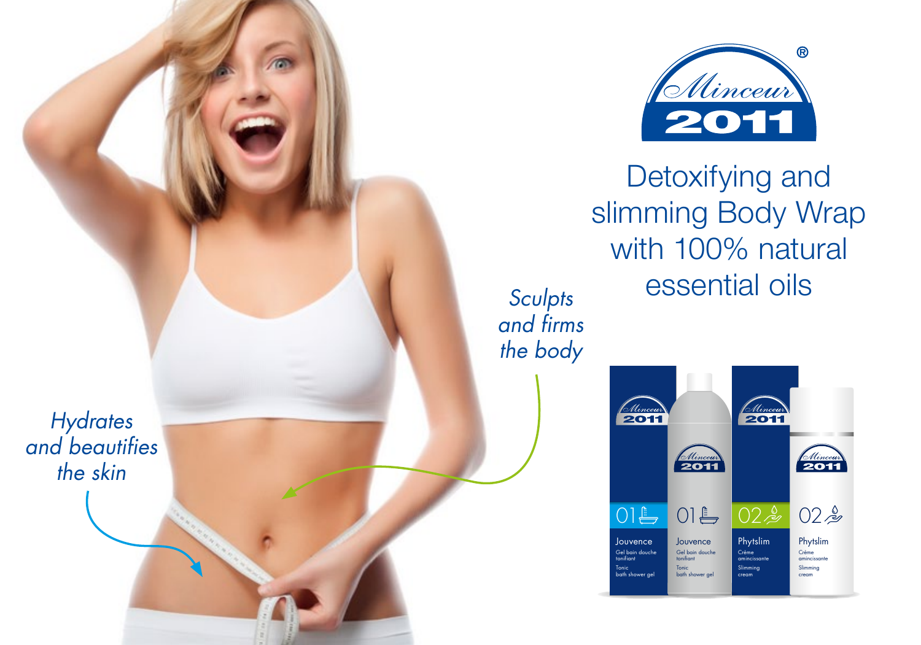

Detoxifying and slimming Body Wrap with 100% natural essential oils

*Sculpts and firms the body*

> $\frac{1}{2011}$ 6 Mincent Altinceur Ellincourt  $O1 \rightarrow$  $O1 \triangleq$  $02<sub>2</sub>$  $02<sub>2</sub>$ Jouvence Phytslim >95% NATURAL 12M Jouvence Gel bain douche tonifiant Phytslim Crème amincissante Gel bain douch amincissante Made in Binche, Belgium by Libinvest Tonic Similar Binche, Bince<br>Bath shower gel Slimming Slimming Ref. 6005 - www.minceur2011.com ℮ 250 ml - 8.5 FL OZ. bath shower gel cream cream

*Hydrates and beautifies the skin*